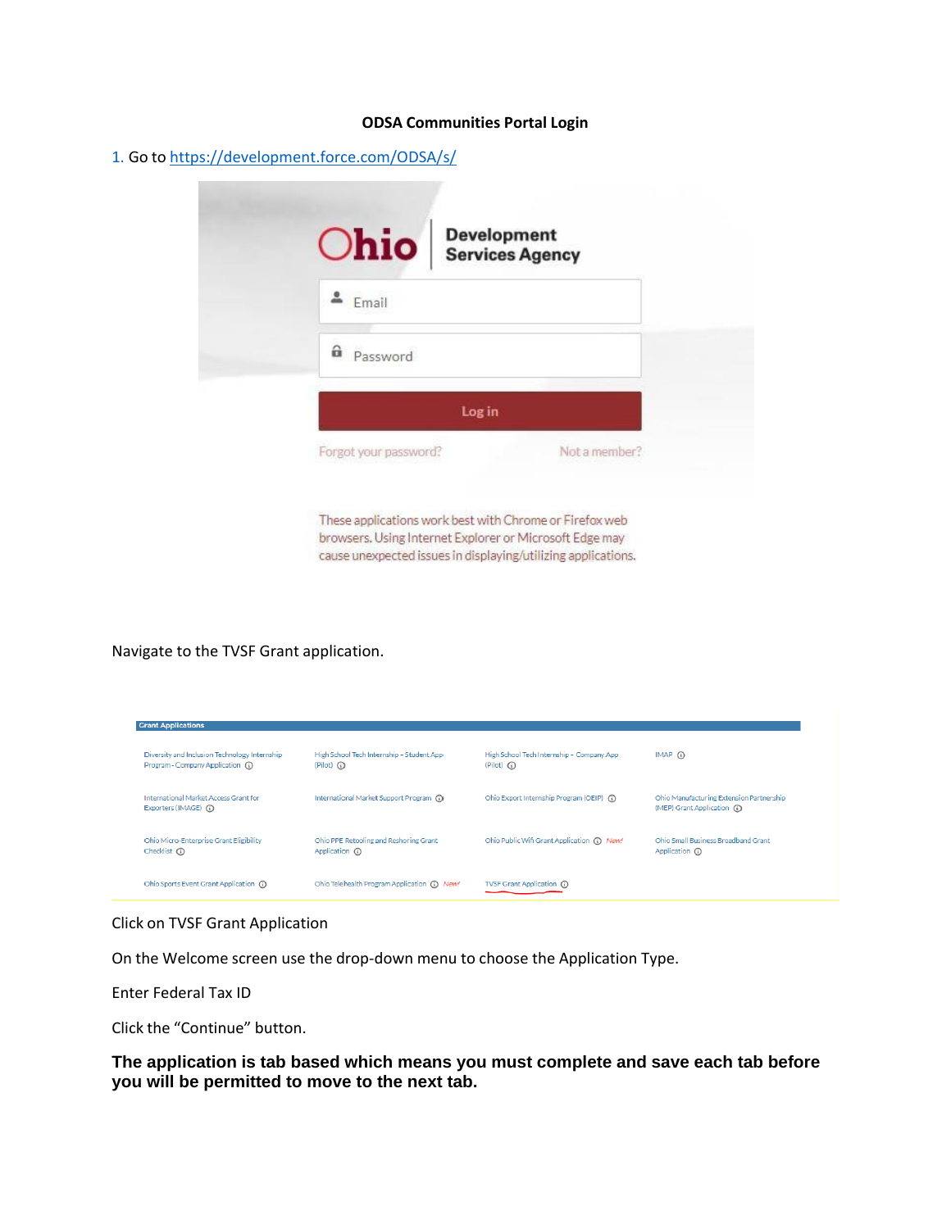#### **ODSA Communities Portal Login**

1. Go to <https://development.force.com/>ODSA/s/

| <b>Chio</b> Bevelopment |               |
|-------------------------|---------------|
| Email                   |               |
| a <sub>Password</sub>   |               |
| Log in                  |               |
| Forgot your password?   | Not a member? |

These applications work best with Chrome or Firefox web browsers. Using Internet Explorer or Microsoft Edge may cause unexpected issues in displaying/utilizing applications.

Navigate to the TVSF Grant application.

| <b>Grant Applications</b>                                                          |                                                                |                                                                |                                                                         |
|------------------------------------------------------------------------------------|----------------------------------------------------------------|----------------------------------------------------------------|-------------------------------------------------------------------------|
| Diversity and Inclusion Technology Internship<br>Program - Company Application (1) | High School Tech Internship - Student App<br>$(Pilot)$ $\odot$ | High School Tech Internship - Company App<br>$(Pilot)$ $\odot$ | $IMAP$ (i)                                                              |
| <b>International Market Access Grant for</b><br>Exporters (IMAGE) (i)              | International Market Support Program (1)                       | Ohio Export Internship Program (OEIP) (1)                      | Ohio Manufacturing Extension Partnership<br>(MEP) Grant Application (1) |
| Ohio Micro-Enterprise Grant Eligibility<br>Checklist $\Omega$                      | Ohio PPE Retooling and Reshoring Grant<br>Application (i)      | Ohio Public Wifi Grant Application (i) New!                    | Ohio Small Business Broadband Grant<br>Application (i)                  |
| Ohio Sports Event Grant Application (1)                                            | Ohio Telehealth Program Application (1) New!                   | TVSF Grant Application (i)                                     |                                                                         |

Click on TVSF Grant Application

On the Welcome screen use the drop-down menu to choose the Application Type.

Enter Federal Tax ID

Click the "Continue" button.

**The application is tab based which means you must complete and save each tab before you will be permitted to move to the next tab.**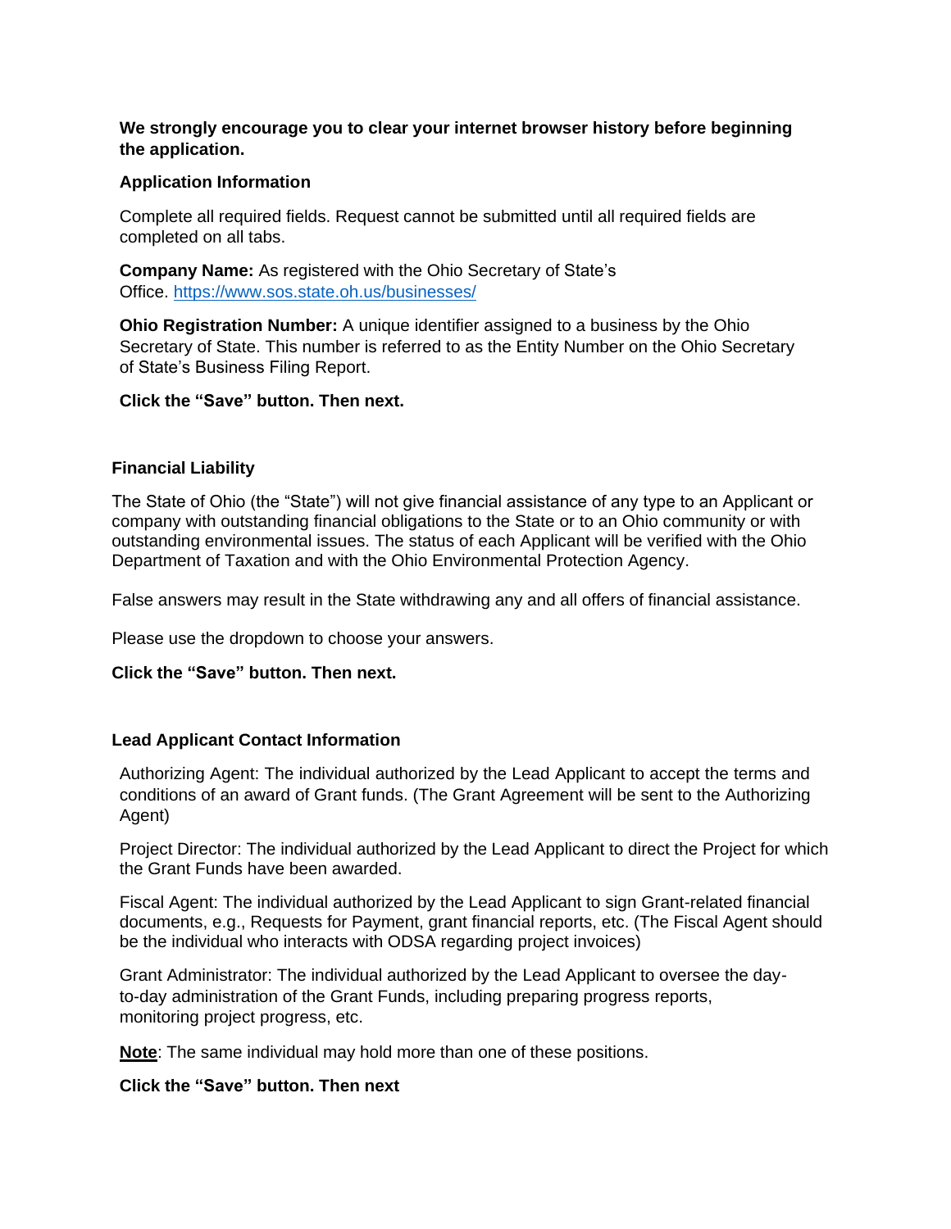## **We strongly encourage you to clear your internet browser history before beginning the application.**

### **Application Information**

Complete all required fields. Request cannot be submitted until all required fields are completed on all tabs.

**Company Name:** As registered with the Ohio Secretary of State's Office.<https://www.sos.state.oh.us/businesses/>

**Ohio Registration Number:** A unique identifier assigned to a business by the Ohio Secretary of State. This number is referred to as the Entity Number on the Ohio Secretary of State's Business Filing Report.

### **Click the "Save" button. Then next.**

### **Financial Liability**

The State of Ohio (the "State") will not give financial assistance of any type to an Applicant or company with outstanding financial obligations to the State or to an Ohio community or with outstanding environmental issues. The status of each Applicant will be verified with the Ohio Department of Taxation and with the Ohio Environmental Protection Agency.

False answers may result in the State withdrawing any and all offers of financial assistance.

Please use the dropdown to choose your answers.

#### **Click the "Save" button. Then next.**

#### **Lead Applicant Contact Information**

Authorizing Agent: The individual authorized by the Lead Applicant to accept the terms and conditions of an award of Grant funds. (The Grant Agreement will be sent to the Authorizing Agent)

Project Director: The individual authorized by the Lead Applicant to direct the Project for which the Grant Funds have been awarded.

Fiscal Agent: The individual authorized by the Lead Applicant to sign Grant-related financial documents, e.g., Requests for Payment, grant financial reports, etc. (The Fiscal Agent should be the individual who interacts with ODSA regarding project invoices)

Grant Administrator: The individual authorized by the Lead Applicant to oversee the dayto-day administration of the Grant Funds, including preparing progress reports, monitoring project progress, etc.

**Note**: The same individual may hold more than one of these positions.

### **Click the "Save" button. Then next**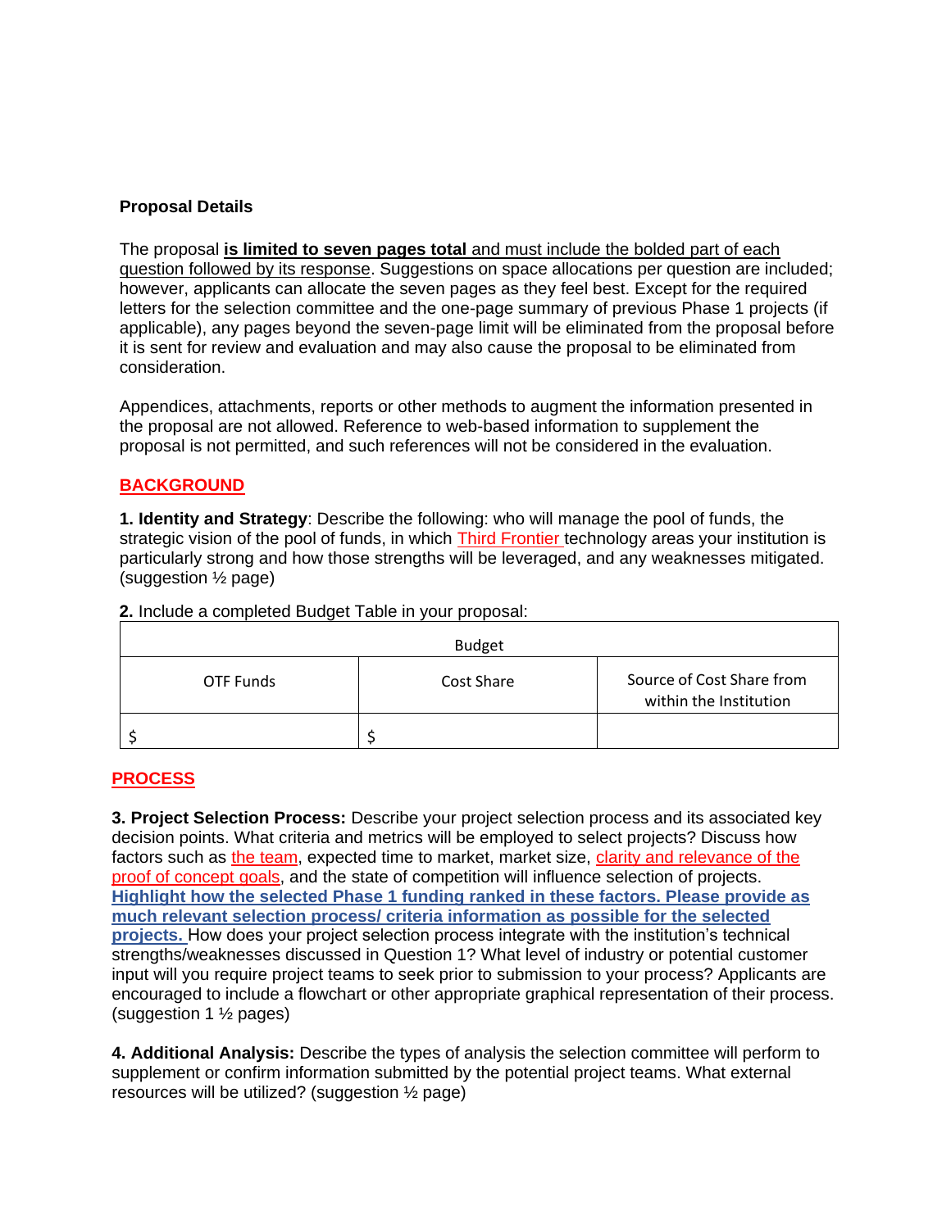## **Proposal Details**

The proposal **is limited to seven pages total** and must include the bolded part of each question followed by its response. Suggestions on space allocations per question are included; however, applicants can allocate the seven pages as they feel best. Except for the required letters for the selection committee and the one-page summary of previous Phase 1 projects (if applicable), any pages beyond the seven-page limit will be eliminated from the proposal before it is sent for review and evaluation and may also cause the proposal to be eliminated from consideration.

Appendices, attachments, reports or other methods to augment the information presented in the proposal are not allowed. Reference to web-based information to supplement the proposal is not permitted, and such references will not be considered in the evaluation.

# **BACKGROUND**

**1. Identity and Strategy**: Describe the following: who will manage the pool of funds, the strategic vision of the pool of funds, in which Third Frontier technology areas your institution is particularly strong and how those strengths will be leveraged, and any weaknesses mitigated. (suggestion ½ page)

Budget OTF Funds The Cost Share Source of Cost Share from within the Institution \$ \$

**2.** Include a completed Budget Table in your proposal:

## **PROCESS**

**3. Project Selection Process:** Describe your project selection process and its associated key decision points. What criteria and metrics will be employed to select projects? Discuss how factors such as the team, expected time to market, market size, clarity and relevance of the proof of concept goals, and the state of competition will influence selection of projects. **Highlight how the selected Phase 1 funding ranked in these factors. Please provide as much relevant selection process/ criteria information as possible for the selected projects.** How does your project selection process integrate with the institution's technical strengths/weaknesses discussed in Question 1? What level of industry or potential customer input will you require project teams to seek prior to submission to your process? Applicants are encouraged to include a flowchart or other appropriate graphical representation of their process. (suggestion 1 ½ pages)

**4. Additional Analysis:** Describe the types of analysis the selection committee will perform to supplement or confirm information submitted by the potential project teams. What external resources will be utilized? (suggestion ½ page)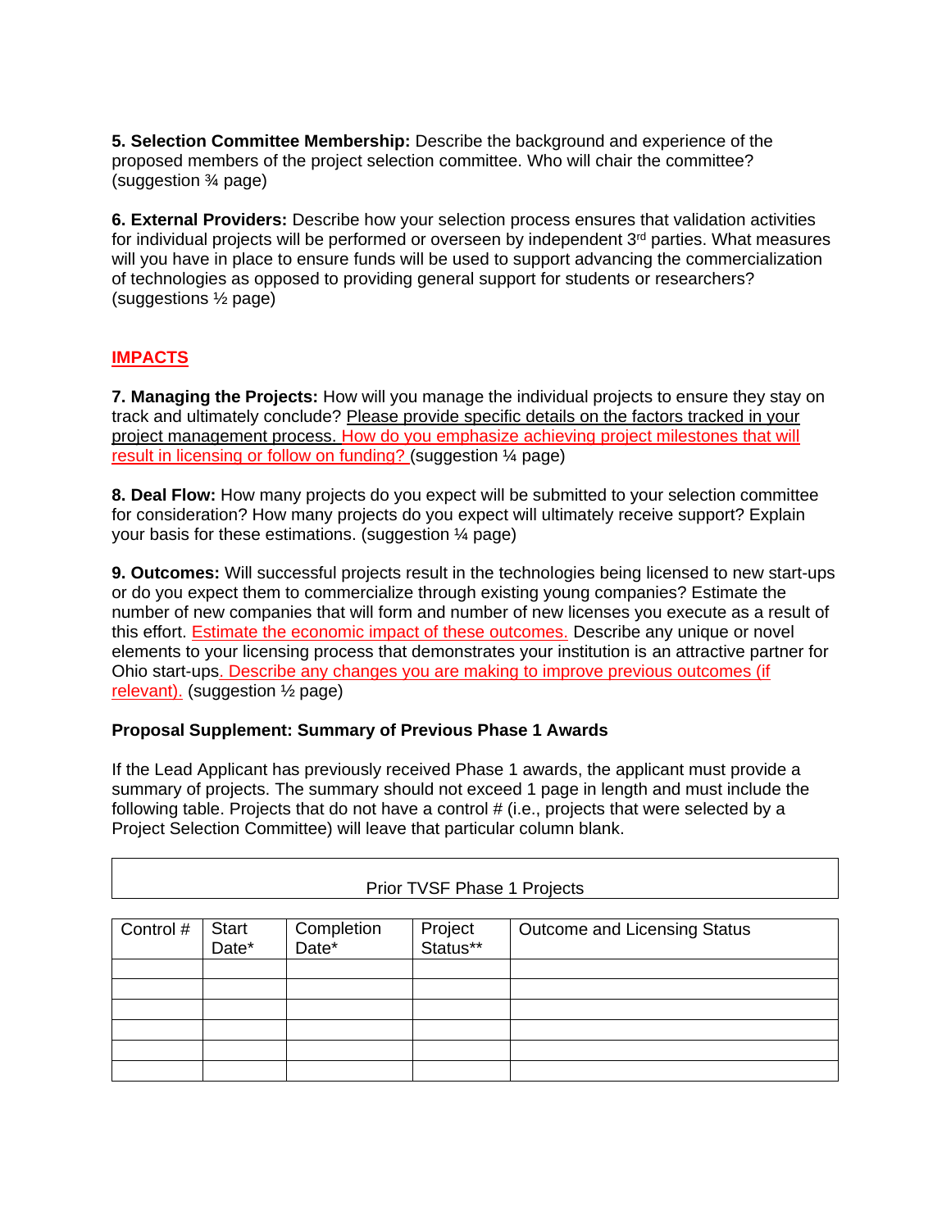**5. Selection Committee Membership:** Describe the background and experience of the proposed members of the project selection committee. Who will chair the committee? (suggestion ¾ page)

**6. External Providers:** Describe how your selection process ensures that validation activities for individual projects will be performed or overseen by independent 3<sup>rd</sup> parties. What measures will you have in place to ensure funds will be used to support advancing the commercialization of technologies as opposed to providing general support for students or researchers? (suggestions ½ page)

# **IMPACTS**

**7. Managing the Projects:** How will you manage the individual projects to ensure they stay on track and ultimately conclude? Please provide specific details on the factors tracked in your project management process. How do you emphasize achieving project milestones that will result in licensing or follow on funding? (suggestion ¼ page)

**8. Deal Flow:** How many projects do you expect will be submitted to your selection committee for consideration? How many projects do you expect will ultimately receive support? Explain your basis for these estimations. (suggestion ¼ page)

**9. Outcomes:** Will successful projects result in the technologies being licensed to new start-ups or do you expect them to commercialize through existing young companies? Estimate the number of new companies that will form and number of new licenses you execute as a result of this effort. **Estimate the economic impact of these outcomes.** Describe any unique or novel elements to your licensing process that demonstrates your institution is an attractive partner for Ohio start-ups. Describe any changes you are making to improve previous outcomes (if relevant). (suggestion ½ page)

## **Proposal Supplement: Summary of Previous Phase 1 Awards**

If the Lead Applicant has previously received Phase 1 awards, the applicant must provide a summary of projects. The summary should not exceed 1 page in length and must include the following table. Projects that do not have a control # (i.e., projects that were selected by a Project Selection Committee) will leave that particular column blank.

| Prior TVSF Phase 1 Projects |                |                                 |                     |                              |  |  |
|-----------------------------|----------------|---------------------------------|---------------------|------------------------------|--|--|
| Control #                   | Start<br>Date* | Completion<br>Date <sup>*</sup> | Project<br>Status** | Outcome and Licensing Status |  |  |
|                             |                |                                 |                     |                              |  |  |
|                             |                |                                 |                     |                              |  |  |
|                             |                |                                 |                     |                              |  |  |
|                             |                |                                 |                     |                              |  |  |
|                             |                |                                 |                     |                              |  |  |
|                             |                |                                 |                     |                              |  |  |